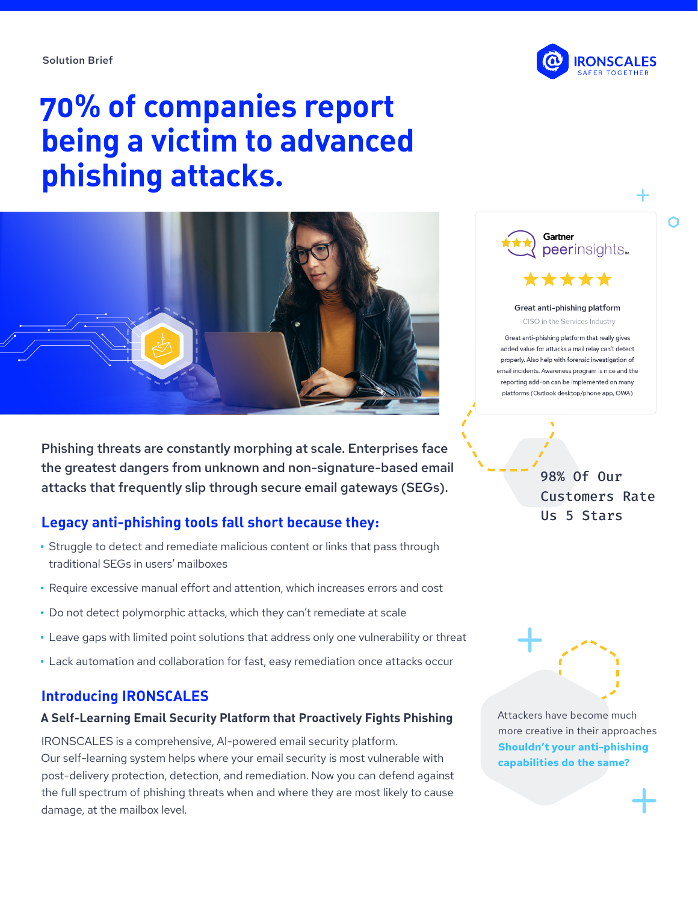Solution Brief



# **70% of companies report being a victim to advanced phishing attacks.**



Phishing threats are constantly morphing at scale. Enterprises face the greatest dangers from unknown and non-signature-based email attacks that frequently slip through secure email gateways (SEGs).

## **Legacy anti-phishing tools fall short because they:**

- **•** Struggle to detect and remediate malicious content or links that pass through traditional SEGs in users' mailboxes
- **•** Require excessive manual effort and attention, which increases errors and cost
- **•** Do not detect polymorphic attacks, which they can't remediate at scale
- **•** Leave gaps with limited point solutions that address only one vulnerability or threat
- **•** Lack automation and collaboration for fast, easy remediation once attacks occur

## **Introducing IRONSCALES**

#### **A Self-Learning Email Security Platform that Proactively Fights Phishing**

IRONSCALES is a comprehensive, AI-powered email security platform. Our self-learning system helps where your email security is most vulnerable with post-delivery protection, detection, and remediation. Now you can defend against the full spectrum of phishing threats when and where they are most likely to cause damage, at the mailbox level.



Great anti-phishing platform -CISO in the Services Industry

Great anti-phishing platform that really gives added value for attacks a mail relay can't detect properly. Also help with forensic investigation of email incidents. Awareness program is nice and the reporting add-on can be implemented on many platforms (Outlook desktop/phone app, OWA)

> 98% Of Our Customers Rate Us 5 Stars



Attackers have become much more creative in their approaches **Shouldn't your anti-phishing capabilities do the same?**